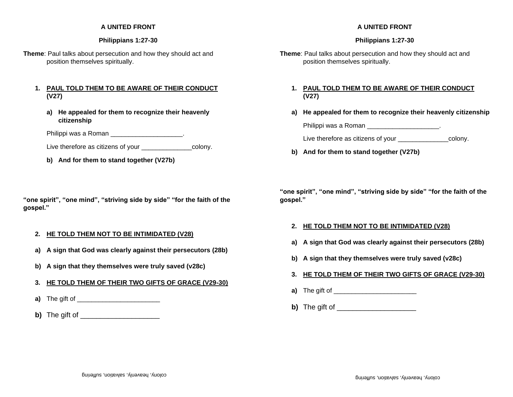#### **A UNITED FRONT**

#### **Philippians 1:27-30**

**Theme**: Paul talks about persecution and how they should act and position themselves spiritually.

#### **1. PAUL TOLD THEM TO BE AWARE OF THEIR CONDUCT (V27)**

**a) He appealed for them to recognize their heavenly citizenship** 

Philippi was a Roman **Example 20** Final power of the set of the set of the set of the set of the set of the set of the set of the set of the set of the set of the set of the set of the set of the set of the set of the set

Live therefore as citizens of your \_\_\_\_\_\_\_\_\_\_\_\_\_\_\_\_\_\_\_\_\_colony.

**b) And for them to stand together (V27b)** 

**"one spirit", "one mind", "striving side by side" "for the faith of the gospel."**

## **2. HE TOLD THEM NOT TO BE INTIMIDATED (V28)**

- **a) A sign that God was clearly against their persecutors (28b)**
- **b) A sign that they themselves were truly saved (v28c)**
- **3. HE TOLD THEM OF THEIR TWO GIFTS OF GRACE (V29-30)**
- **a**) The gift of
- **b)** The gift of

## **A UNITED FRONT**

#### **Philippians 1:27-30**

**Theme**: Paul talks about persecution and how they should act and position themselves spiritually.

## **1. PAUL TOLD THEM TO BE AWARE OF THEIR CONDUCT (V27)**

**a) He appealed for them to recognize their heavenly citizenship** 

Philippi was a Roman \_\_\_\_\_\_\_\_\_\_\_\_\_\_\_\_\_\_\_\_.

Live therefore as citizens of your \_\_\_\_\_\_\_\_\_\_\_\_\_\_\_\_\_\_colony.

**b) And for them to stand together (V27b)** 

**"one spirit", "one mind", "striving side by side" "for the faith of the gospel."**

#### **2. HE TOLD THEM NOT TO BE INTIMIDATED (V28)**

- **a) A sign that God was clearly against their persecutors (28b)**
- **b) A sign that they themselves were truly saved (v28c)**
- **3. HE TOLD THEM OF THEIR TWO GIFTS OF GRACE (V29-30)**
- **a)** The gift of
- **b)** The gift of \_\_\_\_\_\_\_\_\_\_\_\_\_\_\_\_\_\_\_\_